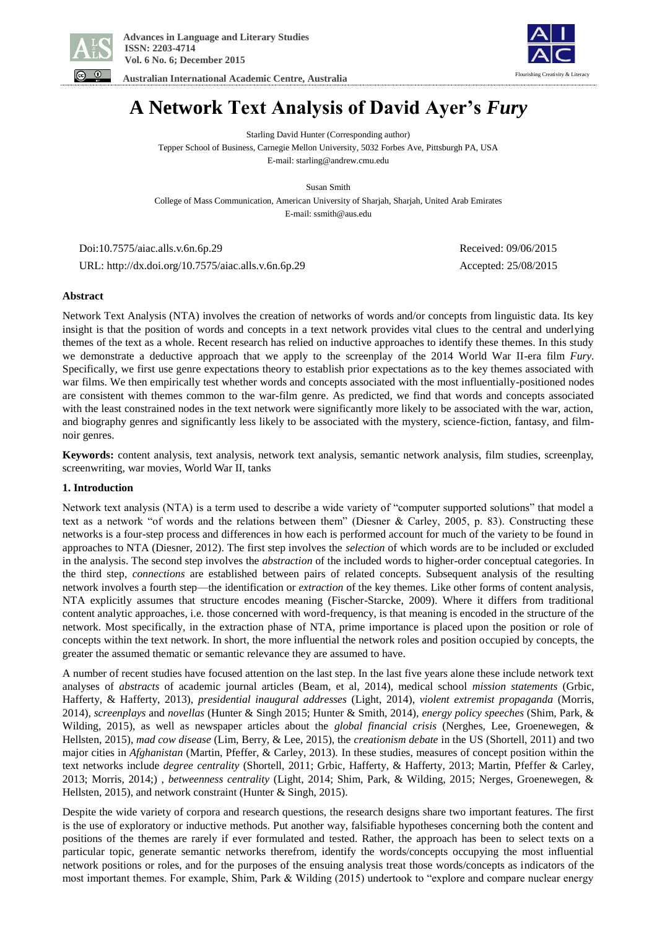

 **Australian International Academic Centre, Australia** 



# **A Network Text Analysis of David Ayer's** *Fury*

Starling David Hunter (Corresponding author)

Tepper School of Business, Carnegie Mellon University, 5032 Forbes Ave, Pittsburgh PA, USA

E-mail: starling@andrew.cmu.edu

Susan Smith

College of Mass Communication, American University of Sharjah, Sharjah, United Arab Emirates E-mail: ssmith@aus.edu

 Doi:10.7575/aiac.alls.v.6n.6p.29 Received: 09/06/2015 URL: http://dx.doi.org/10.7575/aiac.alls.v.6n.6p.29 Accepted: 25/08/2015

# **Abstract**

Network Text Analysis (NTA) involves the creation of networks of words and/or concepts from linguistic data. Its key insight is that the position of words and concepts in a text network provides vital clues to the central and underlying themes of the text as a whole. Recent research has relied on inductive approaches to identify these themes. In this study we demonstrate a deductive approach that we apply to the screenplay of the 2014 World War II-era film *Fury*. Specifically, we first use genre expectations theory to establish prior expectations as to the key themes associated with war films. We then empirically test whether words and concepts associated with the most influentially-positioned nodes are consistent with themes common to the war-film genre. As predicted, we find that words and concepts associated with the least constrained nodes in the text network were significantly more likely to be associated with the war, action, and biography genres and significantly less likely to be associated with the mystery, science-fiction, fantasy, and filmnoir genres.

**Keywords:** content analysis, text analysis, network text analysis, semantic network analysis, film studies, screenplay, screenwriting, war movies, World War II, tanks

# **1. Introduction**

Network text analysis (NTA) is a term used to describe a wide variety of "computer supported solutions" that model a text as a network "of words and the relations between them" (Diesner & Carley, 2005, p. 83). Constructing these networks is a four-step process and differences in how each is performed account for much of the variety to be found in approaches to NTA (Diesner, 2012). The first step involves the *selection* of which words are to be included or excluded in the analysis. The second step involves the *abstraction* of the included words to higher-order conceptual categories. In the third step, *connections* are established between pairs of related concepts. Subsequent analysis of the resulting network involves a fourth step—the identification or *extraction* of the key themes. Like other forms of content analysis, NTA explicitly assumes that structure encodes meaning (Fischer-Starcke, 2009). Where it differs from traditional content analytic approaches, i.e. those concerned with word-frequency, is that meaning is encoded in the structure of the network. Most specifically, in the extraction phase of NTA, prime importance is placed upon the position or role of concepts within the text network. In short, the more influential the network roles and position occupied by concepts, the greater the assumed thematic or semantic relevance they are assumed to have.

A number of recent studies have focused attention on the last step. In the last five years alone these include network text analyses of *abstracts* of academic journal articles (Beam, et al, 2014), medical school *mission statements* (Grbic, Hafferty, & Hafferty, 2013), *presidential inaugural addresses* (Light, 2014), *violent extremist propaganda* (Morris, 2014), *screenplays* and *novellas* (Hunter & Singh 2015; Hunter & Smith, 2014), *energy policy speeches* (Shim, Park, & Wilding, 2015), as well as newspaper articles about the *global financial crisis* (Nerghes, Lee, Groenewegen, & Hellsten, 2015), *mad cow disease* (Lim, Berry, & Lee, 2015), the *creationism debate* in the US (Shortell, 2011) and two major cities in *Afghanistan* (Martin, Pfeffer, & Carley, 2013). In these studies, measures of concept position within the text networks include *degree centrality* (Shortell, 2011; Grbic, Hafferty, & Hafferty, 2013; Martin, Pfeffer & Carley, 2013; Morris, 2014;) , *betweenness centrality* (Light, 2014; Shim, Park, & Wilding, 2015; Nerges, Groenewegen, & Hellsten, 2015), and network constraint (Hunter & Singh, 2015).

Despite the wide variety of corpora and research questions, the research designs share two important features. The first is the use of exploratory or inductive methods. Put another way, falsifiable hypotheses concerning both the content and positions of the themes are rarely if ever formulated and tested. Rather, the approach has been to select texts on a particular topic, generate semantic networks therefrom, identify the words/concepts occupying the most influential network positions or roles, and for the purposes of the ensuing analysis treat those words/concepts as indicators of the most important themes. For example, Shim, Park & Wilding (2015) undertook to "explore and compare nuclear energy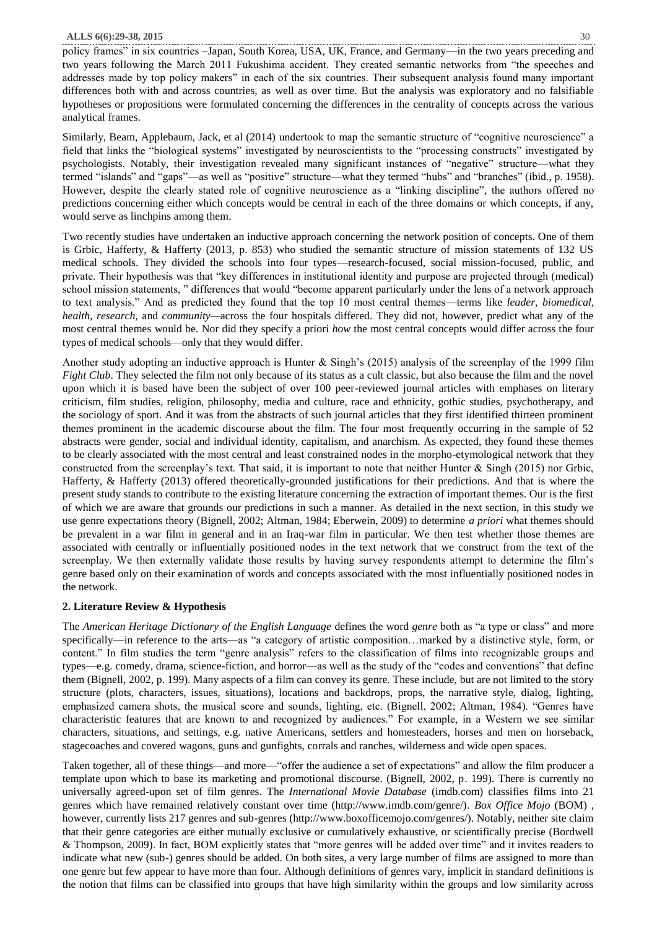policy frames" in six countries –Japan, South Korea, USA, UK, France, and Germany—in the two years preceding and two years following the March 2011 Fukushima accident. They created semantic networks from "the speeches and addresses made by top policy makers" in each of the six countries. Their subsequent analysis found many important differences both with and across countries, as well as over time. But the analysis was exploratory and no falsifiable hypotheses or propositions were formulated concerning the differences in the centrality of concepts across the various analytical frames.

Similarly, Beam, Applebaum, Jack, et al (2014) undertook to map the semantic structure of "cognitive neuroscience" a field that links the "biological systems" investigated by neuroscientists to the "processing constructs" investigated by psychologists. Notably, their investigation revealed many significant instances of "negative" structure—what they termed "islands" and "gaps"—as well as "positive" structure—what they termed "hubs" and "branches" (ibid., p. 1958). However, despite the clearly stated role of cognitive neuroscience as a "linking discipline", the authors offered no predictions concerning either which concepts would be central in each of the three domains or which concepts, if any, would serve as linchpins among them.

Two recently studies have undertaken an inductive approach concerning the network position of concepts. One of them is Grbic, Hafferty, & Hafferty (2013, p. 853) who studied the semantic structure of mission statements of 132 US medical schools. They divided the schools into four types—research-focused, social mission-focused, public, and private. Their hypothesis was that "key differences in institutional identity and purpose are projected through (medical) school mission statements, " differences that would "become apparent particularly under the lens of a network approach to text analysis." And as predicted they found that the top 10 most central themes—terms like *leader, biomedical, health, research,* and *community—*across the four hospitals differed. They did not, however, predict what any of the most central themes would be. Nor did they specify a priori *how* the most central concepts would differ across the four types of medical schools—only that they would differ.

Another study adopting an inductive approach is Hunter & Singh's (2015) analysis of the screenplay of the 1999 film *Fight Club*. They selected the film not only because of its status as a cult classic, but also because the film and the novel upon which it is based have been the subject of over 100 peer-reviewed journal articles with emphases on literary criticism, film studies, religion, philosophy, media and culture, race and ethnicity, gothic studies, psychotherapy, and the sociology of sport. And it was from the abstracts of such journal articles that they first identified thirteen prominent themes prominent in the academic discourse about the film. The four most frequently occurring in the sample of 52 abstracts were gender, social and individual identity, capitalism, and anarchism. As expected, they found these themes to be clearly associated with the most central and least constrained nodes in the morpho-etymological network that they constructed from the screenplay's text. That said, it is important to note that neither Hunter & Singh (2015) nor Grbic, Hafferty, & Hafferty (2013) offered theoretically-grounded justifications for their predictions. And that is where the present study stands to contribute to the existing literature concerning the extraction of important themes. Our is the first of which we are aware that grounds our predictions in such a manner. As detailed in the next section, in this study we use genre expectations theory (Bignell, 2002; Altman, 1984; Eberwein, 2009) to determine *a priori* what themes should be prevalent in a war film in general and in an Iraq-war film in particular. We then test whether those themes are associated with centrally or influentially positioned nodes in the text network that we construct from the text of the screenplay. We then externally validate those results by having survey respondents attempt to determine the film's genre based only on their examination of words and concepts associated with the most influentially positioned nodes in the network.

# **2. Literature Review & Hypothesis**

The *American Heritage Dictionary of the English Language* defines the word *genre* both as "a type or class" and more specifically—in reference to the arts—as "a category of artistic composition…marked by a distinctive style, form, or content." In film studies the term "genre analysis" refers to the classification of films into recognizable groups and types—e.g. comedy, drama, science-fiction, and horror—as well as the study of the "codes and conventions" that define them (Bignell, 2002, p. 199). Many aspects of a film can convey its genre. These include, but are not limited to the story structure (plots, characters, issues, situations), locations and backdrops, props, the narrative style, dialog, lighting, emphasized camera shots, the musical score and sounds, lighting, etc. (Bignell, 2002; Altman, 1984). "Genres have characteristic features that are known to and recognized by audiences." For example, in a Western we see similar characters, situations, and settings, e.g. native Americans, settlers and homesteaders, horses and men on horseback, stagecoaches and covered wagons, guns and gunfights, corrals and ranches, wilderness and wide open spaces.

Taken together, all of these things—and more—"offer the audience a set of expectations" and allow the film producer a template upon which to base its marketing and promotional discourse. (Bignell, 2002, p. 199). There is currently no universally agreed-upon set of film genres. The *International Movie Database* (imdb.com) classifies films into 21 genres which have remained relatively constant over time (http://www.imdb.com/genre/). *Box Office Mojo* (BOM) , however, currently lists 217 genres and sub-genres (http://www.boxofficemojo.com/genres/). Notably, neither site claim that their genre categories are either mutually exclusive or cumulatively exhaustive, or scientifically precise (Bordwell & Thompson, 2009). In fact, BOM explicitly states that "more genres will be added over time" and it invites readers to indicate what new (sub-) genres should be added. On both sites, a very large number of films are assigned to more than one genre but few appear to have more than four. Although definitions of genres vary, implicit in standard definitions is the notion that films can be classified into groups that have high similarity within the groups and low similarity across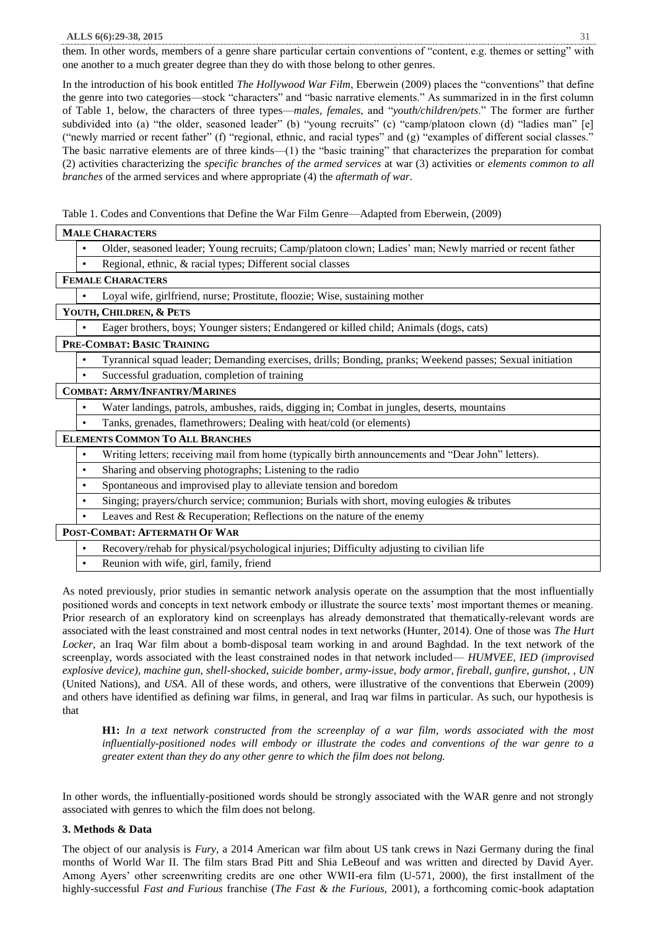them. In other words, members of a genre share particular certain conventions of "content, e.g. themes or setting" with one another to a much greater degree than they do with those belong to other genres.

In the introduction of his book entitled *The Hollywood War Film*, Eberwein (2009) places the "conventions" that define the genre into two categories—stock "characters" and "basic narrative elements." As summarized in in the first column of Table 1, below, the characters of three types—*males*, *females*, and "*youth/children/pets*." The former are further subdivided into (a) "the older, seasoned leader" (b) "young recruits" (c) "camp/platoon clown (d) "ladies man" [e] ("newly married or recent father" (f) "regional, ethnic, and racial types" and (g) "examples of different social classes." The basic narrative elements are of three kinds—(1) the "basic training" that characterizes the preparation for combat (2) activities characterizing the *specific branches of the armed services* at war (3) activities or *elements common to all branches* of the armed services and where appropriate (4) the *aftermath of war*.

Table 1. Codes and Conventions that Define the War Film Genre—Adapted from Eberwein, (2009)

#### **MALE CHARACTERS**

- Older, seasoned leader; Young recruits; Camp/platoon clown; Ladies' man; Newly married or recent father
- Regional, ethnic, & racial types; Different social classes

## **FEMALE CHARACTERS**

• Loyal wife, girlfriend, nurse; Prostitute, floozie; Wise, sustaining mother

# **YOUTH, CHILDREN, & PETS**

• Eager brothers, boys; Younger sisters; Endangered or killed child; Animals (dogs, cats)

#### **PRE-COMBAT: BASIC TRAINING**

- Tyrannical squad leader; Demanding exercises, drills; Bonding, pranks; Weekend passes; Sexual initiation
- Successful graduation, completion of training

# **COMBAT: ARMY/INFANTRY/MARINES**

- Water landings, patrols, ambushes, raids, digging in; Combat in jungles, deserts, mountains
- Tanks, grenades, flamethrowers; Dealing with heat/cold (or elements)

# **ELEMENTS COMMON TO ALL BRANCHES**

- Writing letters; receiving mail from home (typically birth announcements and "Dear John" letters).
- Sharing and observing photographs; Listening to the radio
- Spontaneous and improvised play to alleviate tension and boredom
- Singing; prayers/church service; communion; Burials with short, moving eulogies & tributes
- Leaves and Rest & Recuperation; Reflections on the nature of the enemy

# **POST-COMBAT: AFTERMATH OF WAR**

- Recovery/rehab for physical/psychological injuries; Difficulty adjusting to civilian life
- Reunion with wife, girl, family, friend

As noted previously, prior studies in semantic network analysis operate on the assumption that the most influentially positioned words and concepts in text network embody or illustrate the source texts' most important themes or meaning. Prior research of an exploratory kind on screenplays has already demonstrated that thematically-relevant words are associated with the least constrained and most central nodes in text networks (Hunter, 2014). One of those was *The Hurt Locker*, an Iraq War film about a bomb-disposal team working in and around Baghdad. In the text network of the screenplay, words associated with the least constrained nodes in that network included— *HUMVEE, IED (improvised explosive device), machine gun, shell-shocked, suicide bomber, army-issue, body armor, fireball, gunfire, gunshot,* , *UN*  (United Nations), and *USA*. All of these words, and others, were illustrative of the conventions that Eberwein (2009) and others have identified as defining war films, in general, and Iraq war films in particular. As such, our hypothesis is that

**H1:** *In a text network constructed from the screenplay of a war film, words associated with the most influentially-positioned nodes will embody or illustrate the codes and conventions of the war genre to a greater extent than they do any other genre to which the film does not belong.*

In other words, the influentially-positioned words should be strongly associated with the WAR genre and not strongly associated with genres to which the film does not belong.

## **3. Methods & Data**

The object of our analysis is *Fury*, a 2014 American war film about US tank crews in Nazi Germany during the final months of World War II. The film stars Brad Pitt and Shia LeBeouf and was written and directed by David Ayer. Among Ayers' other screenwriting credits are one other WWII-era film (U-571, 2000), the first installment of the highly-successful *Fast and Furious* franchise (*The Fast & the Furious,* 2001), a forthcoming comic-book adaptation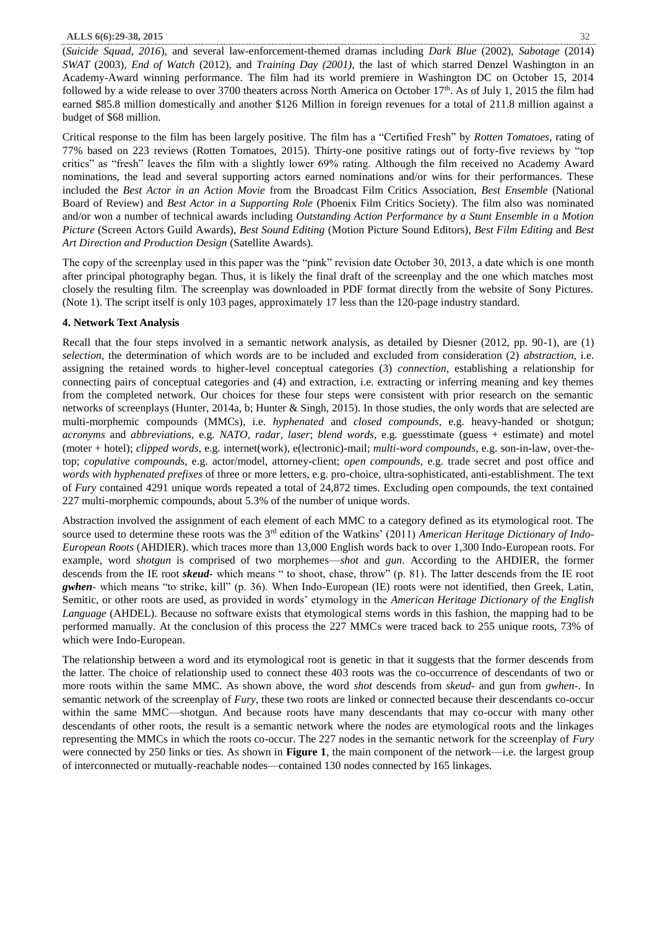(*Suicide Squad, 2016*), and several law-enforcement-themed dramas including *Dark Blue* (2002), *Sabotage* (2014) *SWAT* (2003), *End of Watch* (2012), and *Training Day (2001)*, the last of which starred Denzel Washington in an Academy-Award winning performance. The film had its world premiere in Washington DC on October 15, 2014 followed by a wide release to over 3700 theaters across North America on October  $17<sup>th</sup>$ . As of July 1, 2015 the film had earned \$85.8 million domestically and another \$126 Million in foreign revenues for a total of 211.8 million against a budget of \$68 million.

Critical response to the film has been largely positive. The film has a "Certified Fresh" by *Rotten Tomatoes*, rating of 77% based on 223 reviews (Rotten Tomatoes, 2015). Thirty-one positive ratings out of forty-five reviews by "top critics" as "fresh" leaves the film with a slightly lower 69% rating. Although the film received no Academy Award nominations, the lead and several supporting actors earned nominations and/or wins for their performances. These included the *Best Actor in an Action Movie* from the Broadcast Film Critics Association, *Best Ensemble* (National Board of Review) and *Best Actor in a Supporting Role* (Phoenix Film Critics Society). The film also was nominated and/or won a number of technical awards including *Outstanding Action Performance by a Stunt Ensemble in a Motion Picture* (Screen Actors Guild Awards), *Best Sound Editing* (Motion Picture Sound Editors), *Best Film Editing* and *Best Art Direction and Production Design* (Satellite Awards).

The copy of the screenplay used in this paper was the "pink" revision date October 30, 2013, a date which is one month after principal photography began. Thus, it is likely the final draft of the screenplay and the one which matches most closely the resulting film. The screenplay was downloaded in PDF format directly from the website of Sony Pictures. (Note 1). The script itself is only 103 pages, approximately 17 less than the 120-page industry standard.

## **4. Network Text Analysis**

Recall that the four steps involved in a semantic network analysis, as detailed by Diesner (2012, pp. 90-1), are (1) *selection*, the determination of which words are to be included and excluded from consideration (2) *abstraction*, i.e. assigning the retained words to higher-level conceptual categories (3) *connection*, establishing a relationship for connecting pairs of conceptual categories and (4) and extraction, i.e. extracting or inferring meaning and key themes from the completed network. Our choices for these four steps were consistent with prior research on the semantic networks of screenplays (Hunter, 2014a, b; Hunter & Singh, 2015). In those studies, the only words that are selected are multi-morphemic compounds (MMCs), i.e. *hyphenated* and *closed compounds*, e.g. heavy-handed or shotgun; *acronyms* and *abbreviations*, e.g. *NATO, radar, laser*; *blend words*, e.g. guesstimate (guess + estimate) and motel (moter + hotel); *clipped words*, e.g. internet(work), e(lectronic)-mail; *multi-word compounds*, e.g. son-in-law, over-thetop; *copulative compounds*, e.g. actor/model, attorney-client; *open compounds*, e.g. trade secret and post office and *words with hyphenated prefixes* of three or more letters, e.g. pro-choice, ultra-sophisticated, anti-establishment. The text of *Fury* contained 4291 unique words repeated a total of 24,872 times. Excluding open compounds, the text contained 227 multi-morphemic compounds, about 5.3% of the number of unique words.

Abstraction involved the assignment of each element of each MMC to a category defined as its etymological root. The source used to determine these roots was the 3rd edition of the Watkins' (2011) *American Heritage Dictionary of Indo-European Roots* (AHDIER). which traces more than 13,000 English words back to over 1,300 Indo-European roots. For example, word *shotgun* is comprised of two morphemes—*shot* and *gun*. According to the AHDIER, the former descends from the IE root *skeud-* which means " to shoot, chase, throw" (p. 81). The latter descends from the IE root *gwhen*- which means "to strike, kill" (p. 36). When Indo-European (IE) roots were not identified, then Greek, Latin, Semitic, or other roots are used, as provided in words' etymology in the *American Heritage Dictionary of the English Language* (AHDEL). Because no software exists that etymological stems words in this fashion, the mapping had to be performed manually. At the conclusion of this process the 227 MMCs were traced back to 255 unique roots, 73% of which were Indo-European.

The relationship between a word and its etymological root is genetic in that it suggests that the former descends from the latter. The choice of relationship used to connect these 403 roots was the co-occurrence of descendants of two or more roots within the same MMC. As shown above, the word *shot* descends from *skeud-* and gun from *gwhen-*. In semantic network of the screenplay of *Fury*, these two roots are linked or connected because their descendants co-occur within the same MMC—shotgun. And because roots have many descendants that may co-occur with many other descendants of other roots, the result is a semantic network where the nodes are etymological roots and the linkages representing the MMCs in which the roots co-occur. The 227 nodes in the semantic network for the screenplay of *Fury* were connected by 250 links or ties. As shown in **Figure 1**, the main component of the network—i.e. the largest group of interconnected or mutually-reachable nodes—contained 130 nodes connected by 165 linkages.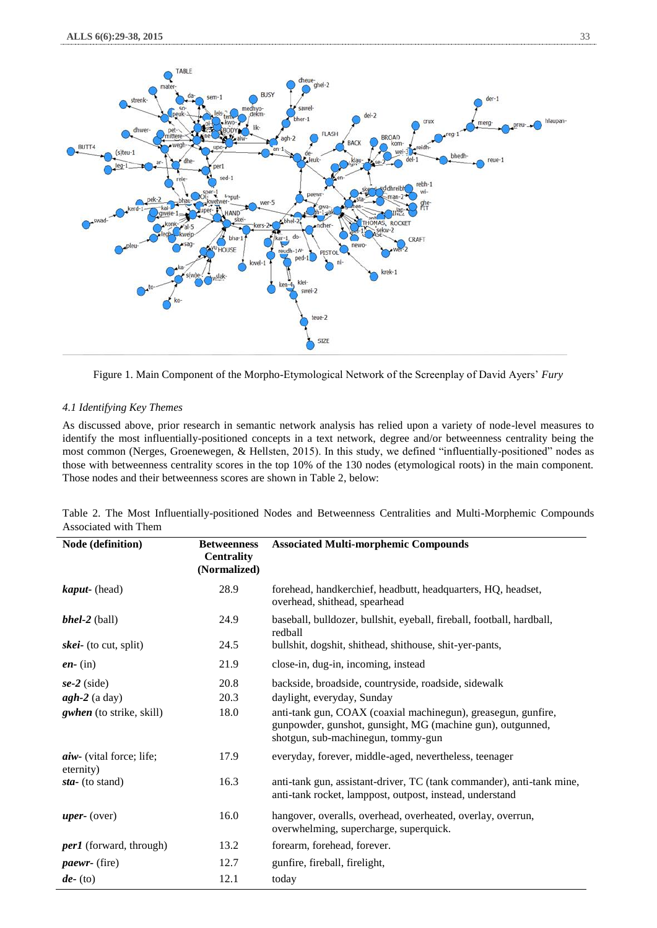

Figure 1. Main Component of the Morpho-Etymological Network of the Screenplay of David Ayers' *Fury*

# *4.1 Identifying Key Themes*

As discussed above, prior research in semantic network analysis has relied upon a variety of node-level measures to identify the most influentially-positioned concepts in a text network, degree and/or betweenness centrality being the most common (Nerges, Groenewegen, & Hellsten, 2015). In this study, we defined "influentially-positioned" nodes as those with betweenness centrality scores in the top 10% of the 130 nodes (etymological roots) in the main component. Those nodes and their betweenness scores are shown in Table 2, below:

| <b>Node (definition)</b>                      | <b>Betweenness</b><br><b>Centrality</b><br>(Normalized) | <b>Associated Multi-morphemic Compounds</b>                                                                                                                       |
|-----------------------------------------------|---------------------------------------------------------|-------------------------------------------------------------------------------------------------------------------------------------------------------------------|
| <i>kaput</i> - (head)                         | 28.9                                                    | forehead, handkerchief, headbutt, headquarters, HQ, headset,<br>overhead, shithead, spearhead                                                                     |
| $shell-2$ (ball)                              | 24.9                                                    | baseball, bulldozer, bullshit, eyeball, fireball, football, hardball,<br>redball                                                                                  |
| skei- (to cut, split)                         | 24.5                                                    | bullshit, dogshit, shithead, shithouse, shit-yer-pants,                                                                                                           |
| en- $(in)$                                    | 21.9                                                    | close-in, dug-in, incoming, instead                                                                                                                               |
| $se-2$ (side)                                 | 20.8                                                    | backside, broadside, countryside, roadside, sidewalk                                                                                                              |
| $agh-2$ (a day)                               | 20.3                                                    | daylight, everyday, Sunday                                                                                                                                        |
| <i>gwhen</i> (to strike, skill)               | 18.0                                                    | anti-tank gun, COAX (coaxial machinegun), greasegun, gunfire,<br>gunpowder, gunshot, gunsight, MG (machine gun), outgunned,<br>shotgun, sub-machinegun, tommy-gun |
| <i>aiw</i> - (vital force; life;<br>eternity) | 17.9                                                    | everyday, forever, middle-aged, nevertheless, teenager                                                                                                            |
| sta- (to stand)                               | 16.3                                                    | anti-tank gun, assistant-driver, TC (tank commander), anti-tank mine,<br>anti-tank rocket, lamppost, outpost, instead, understand                                 |
| $uper-(over)$                                 | 16.0                                                    | hangover, overalls, overhead, overheated, overlay, overrun,<br>overwhelming, supercharge, superquick.                                                             |
| <i>per1</i> (forward, through)                | 13.2                                                    | forearm, forehead, forever.                                                                                                                                       |
| <i>paewr-</i> (fire)                          | 12.7                                                    | gunfire, fireball, firelight,                                                                                                                                     |
| $de-$ (to)                                    | 12.1                                                    | today                                                                                                                                                             |

Table 2. The Most Influentially-positioned Nodes and Betweenness Centralities and Multi-Morphemic Compounds Associated with Them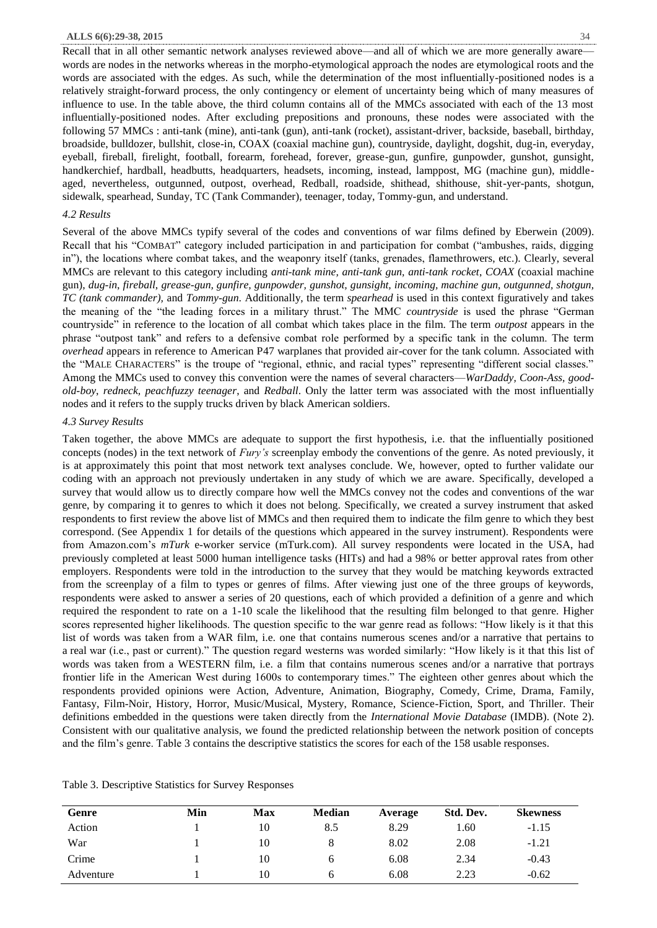Recall that in all other semantic network analyses reviewed above—and all of which we are more generally aware words are nodes in the networks whereas in the morpho-etymological approach the nodes are etymological roots and the words are associated with the edges. As such, while the determination of the most influentially-positioned nodes is a relatively straight-forward process, the only contingency or element of uncertainty being which of many measures of influence to use. In the table above, the third column contains all of the MMCs associated with each of the 13 most influentially-positioned nodes. After excluding prepositions and pronouns, these nodes were associated with the following 57 MMCs : anti-tank (mine), anti-tank (gun), anti-tank (rocket), assistant-driver, backside, baseball, birthday, broadside, bulldozer, bullshit, close-in, COAX (coaxial machine gun), countryside, daylight, dogshit, dug-in, everyday, eyeball, fireball, firelight, football, forearm, forehead, forever, grease-gun, gunfire, gunpowder, gunshot, gunsight, handkerchief, hardball, headbutts, headquarters, headsets, incoming, instead, lamppost, MG (machine gun), middleaged, nevertheless, outgunned, outpost, overhead, Redball, roadside, shithead, shithouse, shit-yer-pants, shotgun, sidewalk, spearhead, Sunday, TC (Tank Commander), teenager, today, Tommy-gun, and understand.

## *4.2 Results*

Several of the above MMCs typify several of the codes and conventions of war films defined by Eberwein (2009). Recall that his "COMBAT" category included participation in and participation for combat ("ambushes, raids, digging in"), the locations where combat takes, and the weaponry itself (tanks, grenades, flamethrowers, etc.). Clearly, several MMCs are relevant to this category including *anti-tank mine, anti-tank gun, anti-tank rocket*, *COAX* (coaxial machine gun), *dug-in*, *fireball*, *grease-gun, gunfire, gunpowder, gunshot, gunsight, incoming, machine gun, outgunned, shotgun, TC (tank commander),* and *Tommy-gun*. Additionally, the term *spearhead* is used in this context figuratively and takes the meaning of the "the leading forces in a military thrust." The MMC *countryside* is used the phrase "German countryside" in reference to the location of all combat which takes place in the film. The term *outpost* appears in the phrase "outpost tank" and refers to a defensive combat role performed by a specific tank in the column. The term *overhead* appears in reference to American P47 warplanes that provided air-cover for the tank column. Associated with the "MALE CHARACTERS" is the troupe of "regional, ethnic, and racial types" representing "different social classes." Among the MMCs used to convey this convention were the names of several characters—*WarDaddy, Coon-Ass, goodold-boy*, *redneck, peachfuzzy teenager*, and *Redball*. Only the latter term was associated with the most influentially nodes and it refers to the supply trucks driven by black American soldiers.

#### *4.3 Survey Results*

Taken together, the above MMCs are adequate to support the first hypothesis, i.e. that the influentially positioned concepts (nodes) in the text network of *Fury's* screenplay embody the conventions of the genre. As noted previously, it is at approximately this point that most network text analyses conclude. We, however, opted to further validate our coding with an approach not previously undertaken in any study of which we are aware. Specifically, developed a survey that would allow us to directly compare how well the MMCs convey not the codes and conventions of the war genre, by comparing it to genres to which it does not belong. Specifically, we created a survey instrument that asked respondents to first review the above list of MMCs and then required them to indicate the film genre to which they best correspond. (See Appendix 1 for details of the questions which appeared in the survey instrument). Respondents were from Amazon.com's *mTurk* e-worker service (mTurk.com). All survey respondents were located in the USA, had previously completed at least 5000 human intelligence tasks (HITs) and had a 98% or better approval rates from other employers. Respondents were told in the introduction to the survey that they would be matching keywords extracted from the screenplay of a film to types or genres of films. After viewing just one of the three groups of keywords, respondents were asked to answer a series of 20 questions, each of which provided a definition of a genre and which required the respondent to rate on a 1-10 scale the likelihood that the resulting film belonged to that genre. Higher scores represented higher likelihoods. The question specific to the war genre read as follows: "How likely is it that this list of words was taken from a WAR film, i.e. one that contains numerous scenes and/or a narrative that pertains to a real war (i.e., past or current)." The question regard westerns was worded similarly: "How likely is it that this list of words was taken from a WESTERN film, i.e. a film that contains numerous scenes and/or a narrative that portrays frontier life in the American West during 1600s to contemporary times." The eighteen other genres about which the respondents provided opinions were Action, Adventure, Animation, Biography, Comedy, Crime, Drama, Family, Fantasy, Film-Noir, History, Horror, Music/Musical, Mystery, Romance, Science-Fiction, Sport, and Thriller. Their definitions embedded in the questions were taken directly from the *International Movie Database* (IMDB). (Note 2). Consistent with our qualitative analysis, we found the predicted relationship between the network position of concepts and the film's genre. Table 3 contains the descriptive statistics the scores for each of the 158 usable responses.

| Genre     | Min | Max | <b>Median</b> | Average | Std. Dev. | <b>Skewness</b> |
|-----------|-----|-----|---------------|---------|-----------|-----------------|
| Action    |     | 10  | 8.5           | 8.29    | 1.60      | $-1.15$         |
| War       |     | 10  |               | 8.02    | 2.08      | $-1.21$         |
| Crime     |     | 10  | <sub>0</sub>  | 6.08    | 2.34      | $-0.43$         |
| Adventure |     | 10  | O             | 6.08    | 2.23      | $-0.62$         |

Table 3. Descriptive Statistics for Survey Responses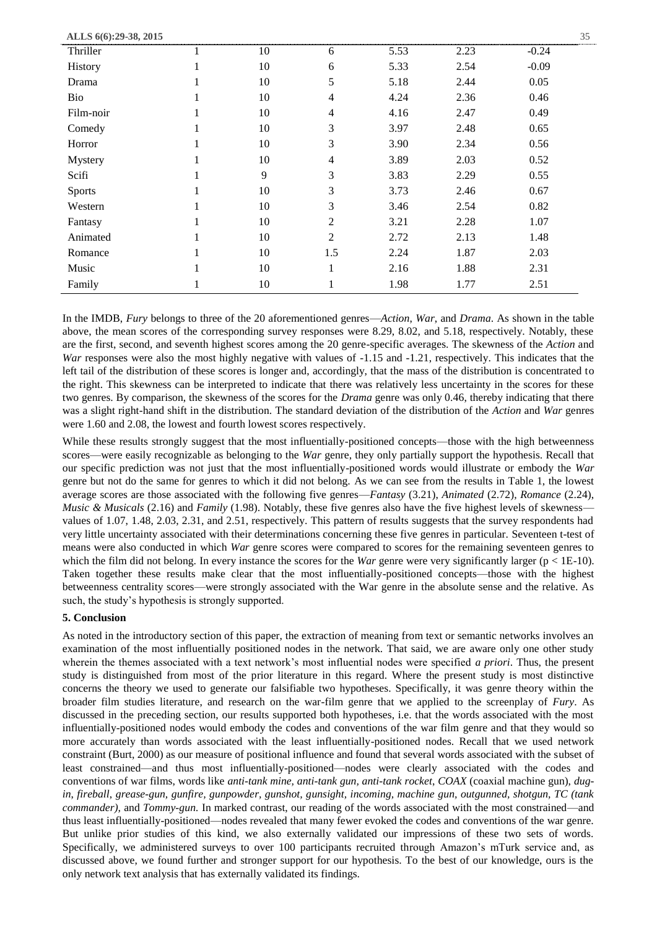| ALLS $6(6):29-38, 2015$ |   |    |                |      |      |         | 35 |
|-------------------------|---|----|----------------|------|------|---------|----|
| Thriller                |   | 10 | 6              | 5.53 | 2.23 | $-0.24$ |    |
| History                 |   | 10 | 6              | 5.33 | 2.54 | $-0.09$ |    |
| Drama                   |   | 10 | 5              | 5.18 | 2.44 | 0.05    |    |
| Bio                     |   | 10 | $\overline{4}$ | 4.24 | 2.36 | 0.46    |    |
| Film-noir               |   | 10 | $\overline{4}$ | 4.16 | 2.47 | 0.49    |    |
| Comedy                  |   | 10 | 3              | 3.97 | 2.48 | 0.65    |    |
| Horror                  | 1 | 10 | 3              | 3.90 | 2.34 | 0.56    |    |
| Mystery                 |   | 10 | 4              | 3.89 | 2.03 | 0.52    |    |
| Scifi                   |   | 9  | 3              | 3.83 | 2.29 | 0.55    |    |
| <b>Sports</b>           | 1 | 10 | 3              | 3.73 | 2.46 | 0.67    |    |
| Western                 |   | 10 | 3              | 3.46 | 2.54 | 0.82    |    |
| Fantasy                 |   | 10 | 2              | 3.21 | 2.28 | 1.07    |    |
| Animated                |   | 10 | $\overline{2}$ | 2.72 | 2.13 | 1.48    |    |
| Romance                 |   | 10 | 1.5            | 2.24 | 1.87 | 2.03    |    |
| Music                   |   | 10 | $\mathbf 1$    | 2.16 | 1.88 | 2.31    |    |
| Family                  |   | 10 |                | 1.98 | 1.77 | 2.51    |    |
|                         |   |    |                |      |      |         |    |

In the IMDB, *Fury* belongs to three of the 20 aforementioned genres—*Action*, *War*, and *Drama*. As shown in the table above, the mean scores of the corresponding survey responses were 8.29, 8.02, and 5.18, respectively. Notably, these are the first, second, and seventh highest scores among the 20 genre-specific averages. The skewness of the *Action* and *War* responses were also the most highly negative with values of -1.15 and -1.21, respectively. This indicates that the left tail of the distribution of these scores is longer and, accordingly, that the mass of the distribution is concentrated to the right. This skewness can be interpreted to indicate that there was relatively less uncertainty in the scores for these two genres. By comparison, the skewness of the scores for the *Drama* genre was only 0.46, thereby indicating that there was a slight right-hand shift in the distribution. The standard deviation of the distribution of the *Action* and *War* genres were 1.60 and 2.08, the lowest and fourth lowest scores respectively.

While these results strongly suggest that the most influentially-positioned concepts—those with the high betweenness scores—were easily recognizable as belonging to the *War* genre, they only partially support the hypothesis. Recall that our specific prediction was not just that the most influentially-positioned words would illustrate or embody the *War* genre but not do the same for genres to which it did not belong. As we can see from the results in Table 1, the lowest average scores are those associated with the following five genres—*Fantasy* (3.21), *Animated* (2.72), *Romance* (2.24), *Music & Musicals* (2.16) and *Family* (1.98). Notably, these five genres also have the five highest levels of skewness values of 1.07, 1.48, 2.03, 2.31, and 2.51, respectively. This pattern of results suggests that the survey respondents had very little uncertainty associated with their determinations concerning these five genres in particular. Seventeen t-test of means were also conducted in which *War* genre scores were compared to scores for the remaining seventeen genres to which the film did not belong. In every instance the scores for the *War* genre were very significantly larger ( $p < 1E-10$ ). Taken together these results make clear that the most influentially-positioned concepts—those with the highest betweenness centrality scores—were strongly associated with the War genre in the absolute sense and the relative. As such, the study's hypothesis is strongly supported.

# **5. Conclusion**

As noted in the introductory section of this paper, the extraction of meaning from text or semantic networks involves an examination of the most influentially positioned nodes in the network. That said, we are aware only one other study wherein the themes associated with a text network's most influential nodes were specified *a priori*. Thus, the present study is distinguished from most of the prior literature in this regard. Where the present study is most distinctive concerns the theory we used to generate our falsifiable two hypotheses. Specifically, it was genre theory within the broader film studies literature, and research on the war-film genre that we applied to the screenplay of *Fury*. As discussed in the preceding section, our results supported both hypotheses, i.e. that the words associated with the most influentially-positioned nodes would embody the codes and conventions of the war film genre and that they would so more accurately than words associated with the least influentially-positioned nodes. Recall that we used network constraint (Burt, 2000) as our measure of positional influence and found that several words associated with the subset of least constrained—and thus most influentially-positioned—nodes were clearly associated with the codes and conventions of war films, words like *anti-tank mine, anti-tank gun, anti-tank rocket*, *COAX* (coaxial machine gun), *dugin*, *fireball*, *grease-gun, gunfire, gunpowder, gunshot, gunsight, incoming, machine gun, outgunned, shotgun, TC (tank commander),* and *Tommy-gun.* In marked contrast, our reading of the words associated with the most constrained—and thus least influentially-positioned—nodes revealed that many fewer evoked the codes and conventions of the war genre. But unlike prior studies of this kind, we also externally validated our impressions of these two sets of words. Specifically, we administered surveys to over 100 participants recruited through Amazon's mTurk service and, as discussed above, we found further and stronger support for our hypothesis. To the best of our knowledge, ours is the only network text analysis that has externally validated its findings.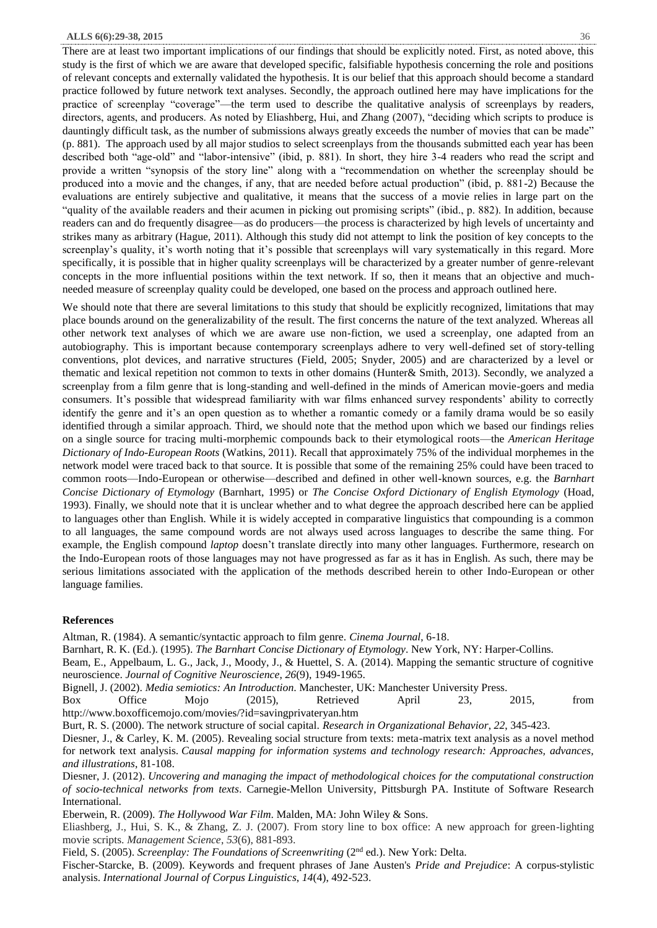There are at least two important implications of our findings that should be explicitly noted. First, as noted above, this study is the first of which we are aware that developed specific, falsifiable hypothesis concerning the role and positions of relevant concepts and externally validated the hypothesis. It is our belief that this approach should become a standard practice followed by future network text analyses. Secondly, the approach outlined here may have implications for the practice of screenplay "coverage"—the term used to describe the qualitative analysis of screenplays by readers, directors, agents, and producers. As noted by Eliashberg, Hui, and Zhang (2007), "deciding which scripts to produce is dauntingly difficult task, as the number of submissions always greatly exceeds the number of movies that can be made" (p. 881). The approach used by all major studios to select screenplays from the thousands submitted each year has been described both "age-old" and "labor-intensive" (ibid, p. 881). In short, they hire 3-4 readers who read the script and provide a written "synopsis of the story line" along with a "recommendation on whether the screenplay should be produced into a movie and the changes, if any, that are needed before actual production" (ibid, p. 881-2) Because the evaluations are entirely subjective and qualitative, it means that the success of a movie relies in large part on the "quality of the available readers and their acumen in picking out promising scripts" (ibid., p. 882). In addition, because readers can and do frequently disagree—as do producers—the process is characterized by high levels of uncertainty and strikes many as arbitrary (Hague, 2011). Although this study did not attempt to link the position of key concepts to the screenplay's quality, it's worth noting that it's possible that screenplays will vary systematically in this regard. More specifically, it is possible that in higher quality screenplays will be characterized by a greater number of genre-relevant concepts in the more influential positions within the text network. If so, then it means that an objective and muchneeded measure of screenplay quality could be developed, one based on the process and approach outlined here.

We should note that there are several limitations to this study that should be explicitly recognized, limitations that may place bounds around on the generalizability of the result. The first concerns the nature of the text analyzed. Whereas all other network text analyses of which we are aware use non-fiction, we used a screenplay, one adapted from an autobiography. This is important because contemporary screenplays adhere to very well-defined set of story-telling conventions, plot devices, and narrative structures (Field, 2005; Snyder, 2005) and are characterized by a level or thematic and lexical repetition not common to texts in other domains (Hunter& Smith, 2013). Secondly, we analyzed a screenplay from a film genre that is long-standing and well-defined in the minds of American movie-goers and media consumers. It's possible that widespread familiarity with war films enhanced survey respondents' ability to correctly identify the genre and it's an open question as to whether a romantic comedy or a family drama would be so easily identified through a similar approach. Third, we should note that the method upon which we based our findings relies on a single source for tracing multi-morphemic compounds back to their etymological roots—the *American Heritage Dictionary of Indo-European Roots* (Watkins, 2011). Recall that approximately 75% of the individual morphemes in the network model were traced back to that source. It is possible that some of the remaining 25% could have been traced to common roots—Indo-European or otherwise—described and defined in other well-known sources, e.g. the *Barnhart Concise Dictionary of Etymology* (Barnhart, 1995) or *The Concise Oxford Dictionary of English Etymology* (Hoad, 1993). Finally, we should note that it is unclear whether and to what degree the approach described here can be applied to languages other than English. While it is widely accepted in comparative linguistics that compounding is a common to all languages, the same compound words are not always used across languages to describe the same thing. For example, the English compound *laptop* doesn't translate directly into many other languages. Furthermore, research on the Indo-European roots of those languages may not have progressed as far as it has in English. As such, there may be serious limitations associated with the application of the methods described herein to other Indo-European or other language families.

# **References**

Altman, R. (1984). A semantic/syntactic approach to film genre. *Cinema Journal*, 6-18.

Barnhart, R. K. (Ed.). (1995). *The Barnhart Concise Dictionary of Etymology*. New York, NY: Harper-Collins.

Beam, E., Appelbaum, L. G., Jack, J., Moody, J., & Huettel, S. A. (2014). Mapping the semantic structure of cognitive neuroscience. *Journal of Cognitive Neuroscience*, *26*(9), 1949-1965.

Bignell, J. (2002). *Media semiotics: An Introduction*. Manchester, UK: Manchester University Press.

Box Office Mojo (2015), Retrieved April 23, 2015, from http://www.boxofficemojo.com/movies/?id=savingprivateryan.htm

Burt, R. S. (2000). The network structure of social capital. *Research in Organizational Behavior*, *22*, 345-423.

Diesner, J., & Carley, K. M. (2005). Revealing social structure from texts: meta-matrix text analysis as a novel method for network text analysis. *Causal mapping for information systems and technology research: Approaches, advances, and illustrations*, 81-108.

Diesner, J. (2012). *Uncovering and managing the impact of methodological choices for the computational construction of socio-technical networks from texts*. Carnegie-Mellon University, Pittsburgh PA. Institute of Software Research International.

Eberwein, R. (2009). *The Hollywood War Film*. Malden, MA: John Wiley & Sons.

Eliashberg, J., Hui, S. K., & Zhang, Z. J. (2007). From story line to box office: A new approach for green-lighting movie scripts. *Management Science*, *53*(6), 881-893.

Field, S. (2005). *Screenplay: The Foundations of Screenwriting* (2nd ed.). New York: Delta.

Fischer-Starcke, B. (2009). Keywords and frequent phrases of Jane Austen's *Pride and Prejudice*: A corpus-stylistic analysis. *International Journal of Corpus Linguistics*, *14*(4), 492-523.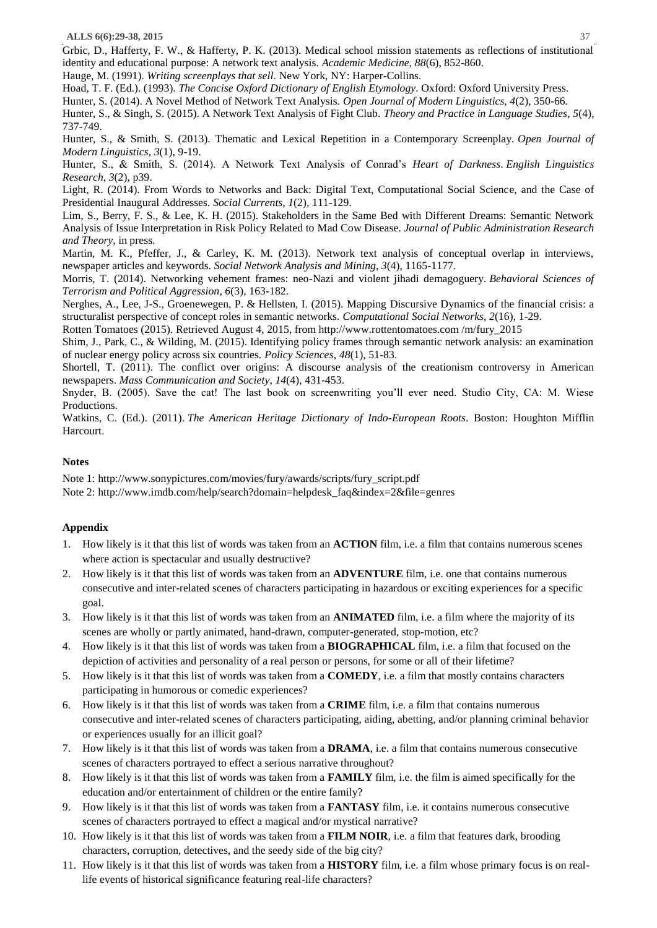Grbic, D., Hafferty, F. W., & Hafferty, P. K. (2013). Medical school mission statements as reflections of institutional identity and educational purpose: A network text analysis. *Academic Medicine*, *88*(6), 852-860.

Hauge, M. (1991). *Writing screenplays that sell*. New York, NY: Harper-Collins.

Hoad, T. F. (Ed.). (1993). *The Concise Oxford Dictionary of English Etymology*. Oxford: Oxford University Press.

Hunter, S. (2014). A Novel Method of Network Text Analysis. *Open Journal of Modern Linguistics*, *4*(2), 350-66.

Hunter, S., & Singh, S. (2015). A Network Text Analysis of Fight Club. *Theory and Practice in Language Studies*, *5*(4), 737-749.

Hunter, S., & Smith, S. (2013). Thematic and Lexical Repetition in a Contemporary Screenplay. *Open Journal of Modern Linguistics*, *3*(1), 9-19.

Hunter, S., & Smith, S. (2014). A Network Text Analysis of Conrad's *Heart of Darkness*. *English Linguistics Research*, *3*(2), p39.

Light, R. (2014). From Words to Networks and Back: Digital Text, Computational Social Science, and the Case of Presidential Inaugural Addresses. *Social Currents*, *1*(2), 111-129.

Lim, S., Berry, F. S., & Lee, K. H. (2015). Stakeholders in the Same Bed with Different Dreams: Semantic Network Analysis of Issue Interpretation in Risk Policy Related to Mad Cow Disease. *Journal of Public Administration Research and Theory*, in press.

Martin, M. K., Pfeffer, J., & Carley, K. M. (2013). Network text analysis of conceptual overlap in interviews, newspaper articles and keywords. *Social Network Analysis and Mining*, *3*(4), 1165-1177.

Morris, T. (2014). Networking vehement frames: neo-Nazi and violent jihadi demagoguery. *Behavioral Sciences of Terrorism and Political Aggression*, *6*(3), 163-182.

Nerghes, A., Lee, J-S., Groenewegen, P. & Hellsten, I. (2015). Mapping Discursive Dynamics of the financial crisis: a structuralist perspective of concept roles in semantic networks. *Computational Social Networks, 2*(16), 1-29.

Rotten Tomatoes (2015). Retrieved August 4, 2015, from http://www.rottentomatoes.com /m/fury\_2015

Shim, J., Park, C., & Wilding, M. (2015). Identifying policy frames through semantic network analysis: an examination of nuclear energy policy across six countries. *Policy Sciences*, *48*(1), 51-83.

Shortell, T. (2011). The conflict over origins: A discourse analysis of the creationism controversy in American newspapers. *Mass Communication and Society*, *14*(4), 431-453.

Snyder, B. (2005). Save the cat! The last book on screenwriting you'll ever need. Studio City, CA: M. Wiese Productions.

Watkins, C. (Ed.). (2011). *The American Heritage Dictionary of Indo-European Roots*. Boston: Houghton Mifflin Harcourt.

# **Notes**

Note 1: http://www.sonypictures.com/movies/fury/awards/scripts/fury\_script.pdf

Note 2: http://www.imdb.com/help/search?domain=helpdesk\_faq&index=2&file=genres

# **Appendix**

- 1. How likely is it that this list of words was taken from an **ACTION** film, i.e. a film that contains numerous scenes where action is spectacular and usually destructive?
- 2. How likely is it that this list of words was taken from an **ADVENTURE** film, i.e. one that contains numerous consecutive and inter-related scenes of characters participating in hazardous or exciting experiences for a specific goal.
- 3. How likely is it that this list of words was taken from an **ANIMATED** film, i.e. a film where the majority of its scenes are wholly or partly animated, hand-drawn, computer-generated, stop-motion, etc?
- 4. How likely is it that this list of words was taken from a **BIOGRAPHICAL** film, i.e. a film that focused on the depiction of activities and personality of a real person or persons, for some or all of their lifetime?
- 5. How likely is it that this list of words was taken from a **COMEDY**, i.e. a film that mostly contains characters participating in humorous or comedic experiences?
- 6. How likely is it that this list of words was taken from a **CRIME** film, i.e. a film that contains numerous consecutive and inter-related scenes of characters participating, aiding, abetting, and/or planning criminal behavior or experiences usually for an illicit goal?
- 7. How likely is it that this list of words was taken from a **DRAMA**, i.e. a film that contains numerous consecutive scenes of characters portrayed to effect a serious narrative throughout?
- 8. How likely is it that this list of words was taken from a **FAMILY** film, i.e. the film is aimed specifically for the education and/or entertainment of children or the entire family?
- 9. How likely is it that this list of words was taken from a **FANTASY** film, i.e. it contains numerous consecutive scenes of characters portrayed to effect a magical and/or mystical narrative?
- 10. How likely is it that this list of words was taken from a **FILM NOIR**, i.e. a film that features dark, brooding characters, corruption, detectives, and the seedy side of the big city?
- 11. How likely is it that this list of words was taken from a **HISTORY** film, i.e. a film whose primary focus is on reallife events of historical significance featuring real-life characters?